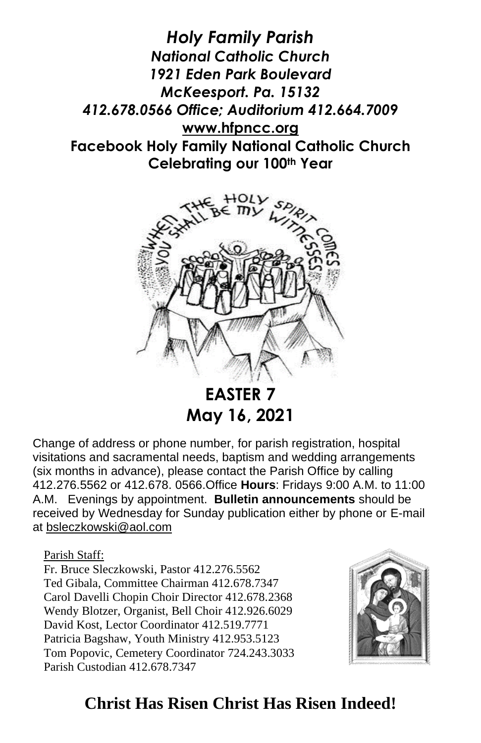*Holy Family Parish National Catholic Church 1921 Eden Park Boulevard McKeesport. Pa. 15132 412.678.0566 Office; Auditorium 412.664.7009* **[www.hfpncc.org](http://www.hfpncc.org/) Facebook Holy Family National Catholic Church Celebrating our 100th Year**



**EASTER 7 May 16, 2021**

Change of address or phone number, for parish registration, hospital visitations and sacramental needs, baptism and wedding arrangements (six months in advance), please contact the Parish Office by calling 412.276.5562 or 412.678. 0566.Office **Hours**: Fridays 9:00 A.M. to 11:00 A.M. Evenings by appointment. **Bulletin announcements** should be received by Wednesday for Sunday publication either by phone or E-mail at [bsleczkowski@aol.com](mailto:bsleczkowski@aol.com)

Parish Staff:

Fr. Bruce Sleczkowski, Pastor 412.276.5562 Ted Gibala, Committee Chairman 412.678.7347 Carol Davelli Chopin Choir Director 412.678.2368 Wendy Blotzer, Organist, Bell Choir 412.926.6029 David Kost, Lector Coordinator 412.519.7771 Patricia Bagshaw, Youth Ministry 412.953.5123 Tom Popovic, Cemetery Coordinator 724.243.3033 Parish Custodian 412.678.7347



## **Christ Has Risen Christ Has Risen Indeed!**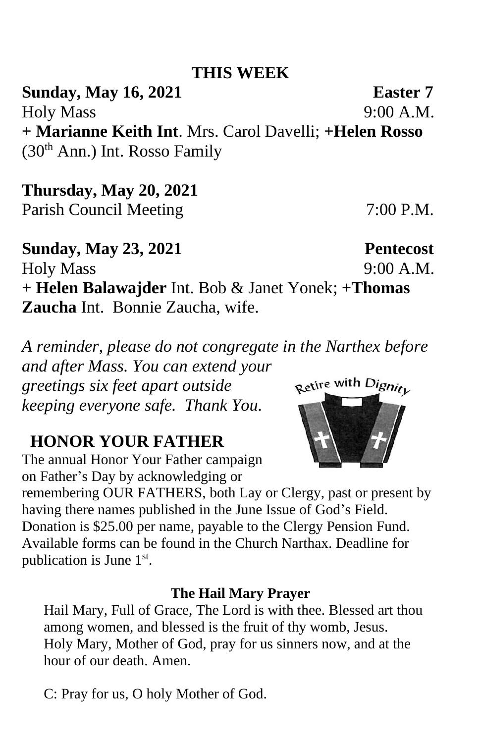## **THIS WEEK**

**Sunday, May 16, 2021 Easter 7** Holy Mass 9:00 A.M. **+ Marianne Keith Int**. Mrs. Carol Davelli; **+Helen Rosso** (30th Ann.) Int. Rosso Family

**Thursday, May 20, 2021**  Parish Council Meeting 7:00 P.M.

**Sunday, May 23, 2021 Pentecost** Holy Mass 9:00 A.M. **+ Helen Balawajder** Int. Bob & Janet Yonek; **+Thomas Zaucha** Int. Bonnie Zaucha, wife.

*A reminder, please do not congregate in the Narthex before and after Mass. You can extend your* 

*greetings six feet apart outside keeping everyone safe. Thank You.*

# **HONOR YOUR FATHER**

The annual Honor Your Father campaign on Father's Day by acknowledging or

remembering OUR FATHERS, both Lay or Clergy, past or present by having there names published in the June Issue of God's Field. Donation is \$25.00 per name, payable to the Clergy Pension Fund. Available forms can be found in the Church Narthax. Deadline for publication is June  $1<sup>st</sup>$ .

#### **The Hail Mary Prayer**

Hail Mary, Full of Grace, The Lord is with thee. Blessed art thou among women, and blessed is the fruit of thy womb, Jesus. Holy Mary, Mother of God, pray for us sinners now, and at the hour of our death. Amen.

C: Pray for us, O holy Mother of God.

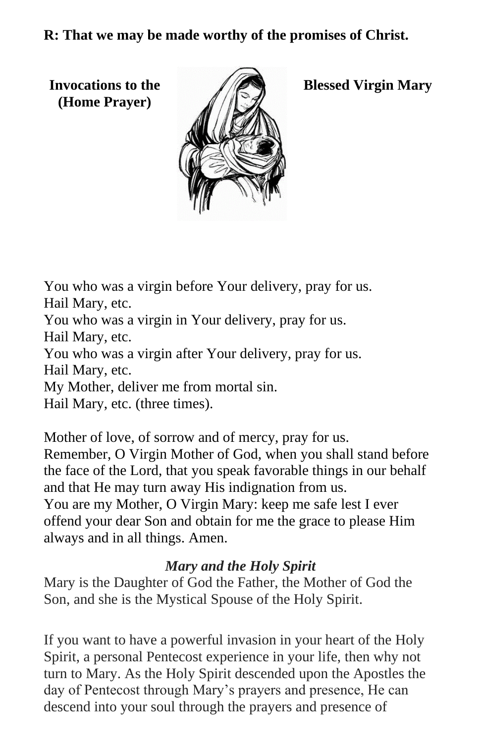**R: That we may be made worthy of the promises of Christ.**

**(Home Prayer)**



**Invocations to the Algebra Blessed Virgin Mary** 

You who was a virgin before Your delivery, pray for us. Hail Mary, etc.

You who was a virgin in Your delivery, pray for us.

Hail Mary, etc.

You who was a virgin after Your delivery, pray for us.

Hail Mary, etc.

My Mother, deliver me from mortal sin.

Hail Mary, etc. (three times).

Mother of love, of sorrow and of mercy, pray for us. Remember, O Virgin Mother of God, when you shall stand before the face of the Lord, that you speak favorable things in our behalf and that He may turn away His indignation from us. You are my Mother, O Virgin Mary: keep me safe lest I ever offend your dear Son and obtain for me the grace to please Him always and in all things. Amen.

### *Mary and the Holy Spirit*

Mary is the Daughter of God the Father, the Mother of God the Son, and she is the Mystical Spouse of the Holy Spirit.

If you want to have a powerful invasion in your heart of the Holy Spirit, a personal Pentecost experience in your life, then why not turn to Mary. As the Holy Spirit descended upon the Apostles the day of Pentecost through Mary's prayers and presence, He can descend into your soul through the prayers and presence of